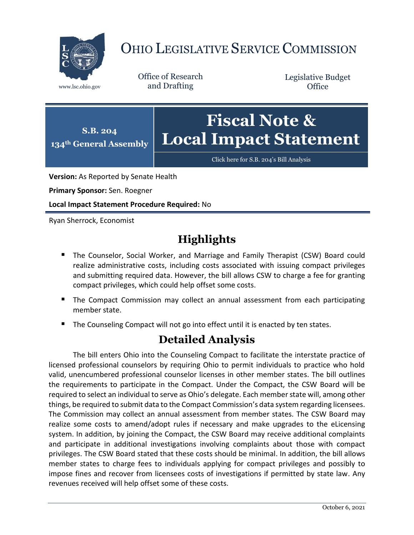

## OHIO LEGISLATIVE SERVICE COMMISSION

Office of Research www.lsc.ohio.gov and Drafting

Legislative Budget **Office** 



[Click here for S.B. 204](https://www.legislature.ohio.gov/legislation/legislation-documents?id=GA134-SB-204)'s Bill Analysis

**Version:** As Reported by Senate Health

**Primary Sponsor:** Sen. Roegner

**Local Impact Statement Procedure Required:** No

Ryan Sherrock, Economist

## **Highlights**

- **The Counselor, Social Worker, and Marriage and Family Therapist (CSW) Board could** realize administrative costs, including costs associated with issuing compact privileges and submitting required data. However, the bill allows CSW to charge a fee for granting compact privileges, which could help offset some costs.
- **The Compact Commission may collect an annual assessment from each participating** member state.
- The Counseling Compact will not go into effect until it is enacted by ten states.

## **Detailed Analysis**

The bill enters Ohio into the Counseling Compact to facilitate the interstate practice of licensed professional counselors by requiring Ohio to permit individuals to practice who hold valid, unencumbered professional counselor licenses in other member states. The bill outlines the requirements to participate in the Compact. Under the Compact, the CSW Board will be required to select an individual to serve as Ohio's delegate. Each member state will, among other things, be required to submit data to the Compact Commission's data system regarding licensees. The Commission may collect an annual assessment from member states. The CSW Board may realize some costs to amend/adopt rules if necessary and make upgrades to the eLicensing system. In addition, by joining the Compact, the CSW Board may receive additional complaints and participate in additional investigations involving complaints about those with compact privileges. The CSW Board stated that these costs should be minimal. In addition, the bill allows member states to charge fees to individuals applying for compact privileges and possibly to impose fines and recover from licensees costs of investigations if permitted by state law. Any revenues received will help offset some of these costs.